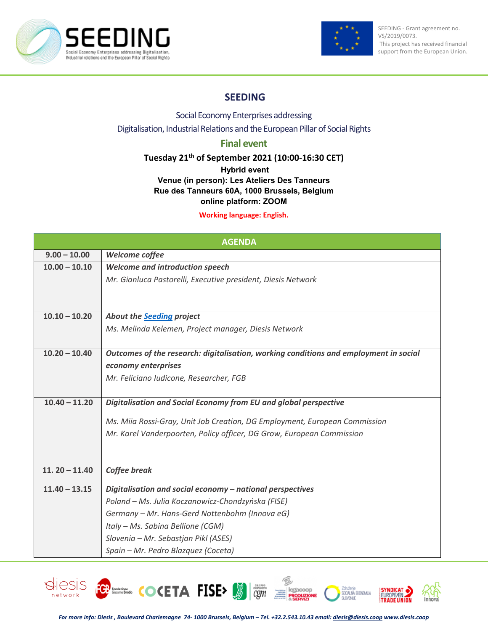



# **SEEDING**

## Social Economy Enterprises addressing Digitalisation, Industrial Relations and the European Pillar of Social Rights

# **Final event**

## **Tuesday 21th of September 2021 (10:00-16:30 CET)**

#### **Hybrid event**

## **Venue (in person): Les Ateliers Des Tanneurs Rue des Tanneurs 60A, 1000 Brussels, Belgium online platform: ZOOM**

#### **Working language: English.**

| <b>AGENDA</b>   |                                                                                       |
|-----------------|---------------------------------------------------------------------------------------|
| $9.00 - 10.00$  | Welcome coffee                                                                        |
| $10.00 - 10.10$ | <b>Welcome and introduction speech</b>                                                |
|                 | Mr. Gianluca Pastorelli, Executive president, Diesis Network                          |
|                 |                                                                                       |
|                 |                                                                                       |
| $10.10 - 10.20$ | <b>About the Seeding project</b>                                                      |
|                 | Ms. Melinda Kelemen, Project manager, Diesis Network                                  |
|                 |                                                                                       |
| $10.20 - 10.40$ | Outcomes of the research: digitalisation, working conditions and employment in social |
|                 | economy enterprises                                                                   |
|                 | Mr. Feliciano Iudicone, Researcher, FGB                                               |
|                 |                                                                                       |
| $10.40 - 11.20$ | Digitalisation and Social Economy from EU and global perspective                      |
|                 | Ms. Miia Rossi-Gray, Unit Job Creation, DG Employment, European Commission            |
|                 | Mr. Karel Vanderpoorten, Policy officer, DG Grow, European Commission                 |
|                 |                                                                                       |
|                 |                                                                                       |
| $11.20 - 11.40$ | <b>Coffee break</b>                                                                   |
| $11.40 - 13.15$ | Digitalisation and social economy - national perspectives                             |
|                 | Poland - Ms. Julia Koczanowicz-Chondzyńska (FISE)                                     |
|                 | Germany - Mr. Hans-Gerd Nottenbohm (Innova eG)                                        |
|                 | Italy - Ms. Sabina Bellione (CGM)                                                     |
|                 | Slovenia – Mr. Sebastjan Pikl (ASES)                                                  |
|                 | Spain - Mr. Pedro Blazquez (Coceta)                                                   |